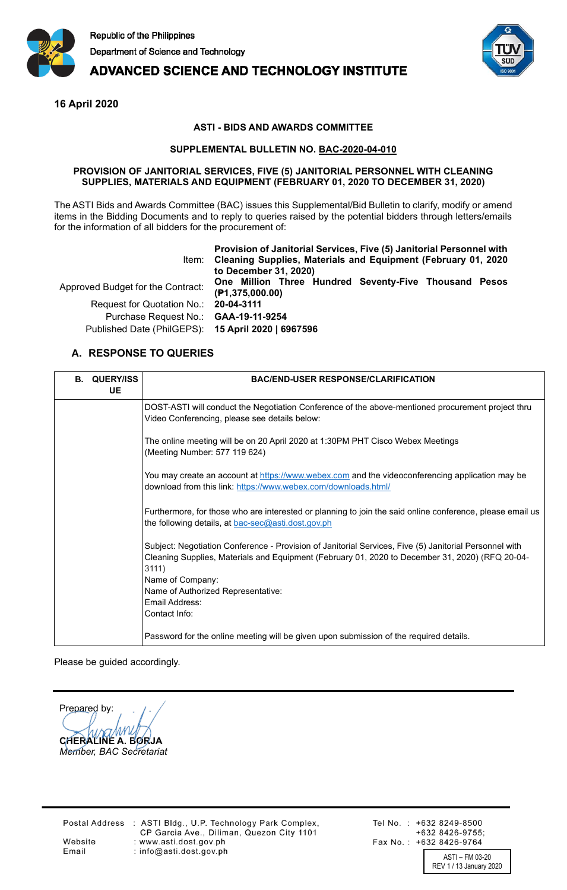

# **ADVANCED SCIENCE AND TECHNOLOGY INSTITUTE**



**16 April 2020**

### **ASTI - BIDS AND AWARDS COMMITTEE**

### **SUPPLEMENTAL BULLETIN NO. BAC-2020-04-010**

#### **PROVISION OF JANITORIAL SERVICES, FIVE (5) JANITORIAL PERSONNEL WITH CLEANING SUPPLIES, MATERIALS AND EQUIPMENT (FEBRUARY 01, 2020 TO DECEMBER 31, 2020)**

The ASTI Bids and Awards Committee (BAC) issues this Supplemental/Bid Bulletin to clarify, modify or amend items in the Bidding Documents and to reply to queries raised by the potential bidders through letters/emails for the information of all bidders for the procurement of:

|                                                                                            | Provision of Janitorial Services, Five (5) Janitorial Personnel with<br>Item: Cleaning Supplies, Materials and Equipment (February 01, 2020)<br>to December 31, 2020) |
|--------------------------------------------------------------------------------------------|-----------------------------------------------------------------------------------------------------------------------------------------------------------------------|
| Approved Budget for the Contract:                                                          | One Million Three Hundred Seventy-Five Thousand Pesos<br>(P1, 375, 000.00)                                                                                            |
| Request for Quotation No.: 20-04-3111                                                      |                                                                                                                                                                       |
| Purchase Request No.: GAA-19-11-9254<br>Published Date (PhilGEPS): 15 April 2020   6967596 |                                                                                                                                                                       |

## **A. RESPONSE TO QUERIES**

| <b>B. QUERY/ISS</b><br><b>UE</b> | <b>BAC/END-USER RESPONSE/CLARIFICATION</b>                                                                                                                                                                         |
|----------------------------------|--------------------------------------------------------------------------------------------------------------------------------------------------------------------------------------------------------------------|
|                                  | DOST-ASTI will conduct the Negotiation Conference of the above-mentioned procurement project thru<br>Video Conferencing, please see details below:                                                                 |
|                                  | The online meeting will be on 20 April 2020 at 1:30PM PHT Cisco Webex Meetings<br>(Meeting Number: 577 119 624)                                                                                                    |
|                                  | You may create an account at https://www.webex.com and the videoconferencing application may be<br>download from this link: https://www.webex.com/downloads.html/                                                  |
|                                  | Furthermore, for those who are interested or planning to join the said online conference, please email us<br>the following details, at bac-sec@asti.dost.gov.ph                                                    |
|                                  | Subject: Negotiation Conference - Provision of Janitorial Services, Five (5) Janitorial Personnel with<br>Cleaning Supplies, Materials and Equipment (February 01, 2020 to December 31, 2020) (RFQ 20-04-<br>3111) |
|                                  | Name of Company:                                                                                                                                                                                                   |
|                                  | Name of Authorized Representative:                                                                                                                                                                                 |
|                                  | Email Address:                                                                                                                                                                                                     |
|                                  | Contact Info:                                                                                                                                                                                                      |
|                                  | Password for the online meeting will be given upon submission of the required details.                                                                                                                             |

Please be guided accordingly.

Prepared by: **CHERALINE A. BORJA** *Member, BAC Secretariat*